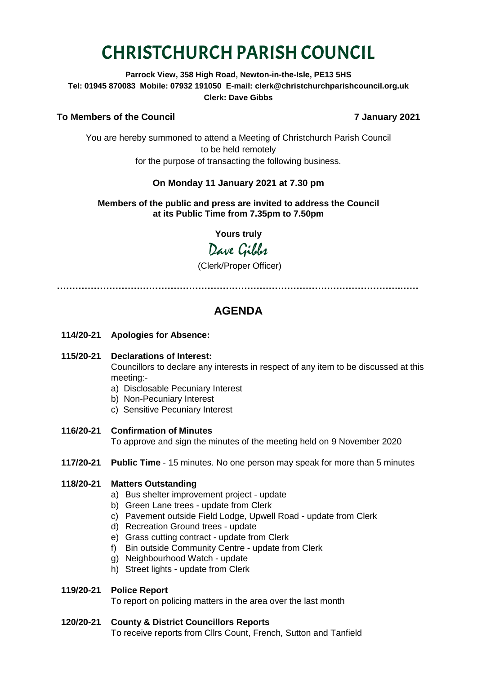# CHRISTCHURCH PARISH COUNCIL

**Parrock View, 358 High Road, Newton-in-the-Isle, PE13 5HS Tel: 01945 870083 Mobile: 07932 191050 E-mail: clerk@christchurchparishcouncil.org.uk Clerk: Dave Gibbs**

#### **To Members of the Council 7 January 2021**

You are hereby summoned to attend a Meeting of Christchurch Parish Council to be held remotely for the purpose of transacting the following business.

#### **On Monday 11 January 2021 at 7.30 pm**

#### **Members of the public and press are invited to address the Council at its Public Time from 7.35pm to 7.50pm**

**Yours truly**

## Dave Gilber

(Clerk/Proper Officer)

**………………………………………………………………………………………………….……**

### **AGENDA**

- **114/20-21 Apologies for Absence:**
- **115/20-21 Declarations of Interest:**  Councillors to declare any interests in respect of any item to be discussed at this meeting:
	- a) Disclosable Pecuniary Interest
	- b) Non-Pecuniary Interest
	- c) Sensitive Pecuniary Interest
- **116/20-21 Confirmation of Minutes**  To approve and sign the minutes of the meeting held on 9 November 2020
- **117/20-21 Public Time** 15 minutes. No one person may speak for more than 5 minutes

#### **118/20-21 Matters Outstanding**

- a) Bus shelter improvement project update
- b) Green Lane trees update from Clerk
- c) Pavement outside Field Lodge, Upwell Road update from Clerk
- d) Recreation Ground trees update
- e) Grass cutting contract update from Clerk
- f) Bin outside Community Centre update from Clerk
- g) Neighbourhood Watch update
- h) Street lights update from Clerk

#### **119/20-21 Police Report**

To report on policing matters in the area over the last month

#### **120/20-21 County & District Councillors Reports**

To receive reports from Cllrs Count, French, Sutton and Tanfield